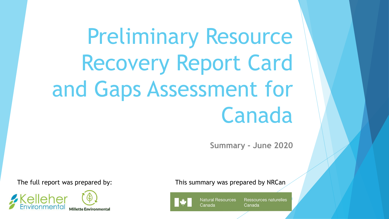# Preliminary Resource Recovery Report Card and Gaps Assessment for Canada

**Summary - June 2020**



The full report was prepared by: This summary was prepared by NRCan



**Natural Resources** Canada

**Ressources naturelles** Canada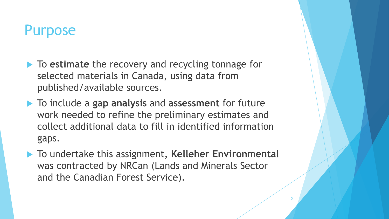# Purpose

- **► To estimate** the recovery and recycling tonnage for selected materials in Canada, using data from published/available sources.
- To include a **gap analysis** and **assessment** for future work needed to refine the preliminary estimates and collect additional data to fill in identified information gaps.
- ▶ To undertake this assignment, Kelleher Environmental was contracted by NRCan (Lands and Minerals Sector and the Canadian Forest Service).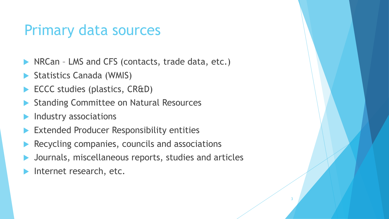# Primary data sources

- NRCan LMS and CFS (contacts, trade data, etc.)
- Statistics Canada (WMIS)
- ECCC studies (plastics, CR&D)
- Standing Committee on Natural Resources
- Industry associations
- Extended Producer Responsibility entities
- Recycling companies, councils and associations
- Journals, miscellaneous reports, studies and articles

3

Internet research, etc.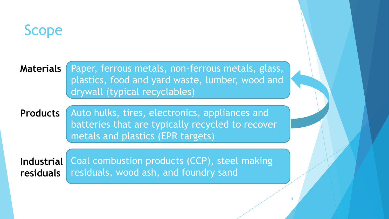

**Materials**

Paper, ferrous metals, non-ferrous metals, glass, plastics, food and yard waste, lumber, wood and drywall (typical recyclables)

4

Auto hulks, tires, electronics, appliances and batteries that are typically recycled to recover metals and plastics (EPR targets) **Products**

Coal combustion products (CCP), steel making residuals, wood ash, and foundry sand **Industrial residuals**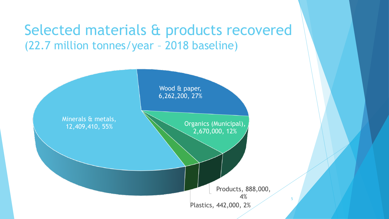# Selected materials & products recovered (22.7 million tonnes/year – 2018 baseline)

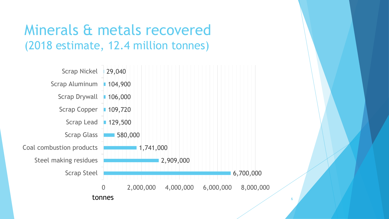# Minerals & metals recovered (2018 estimate, 12.4 million tonnes)

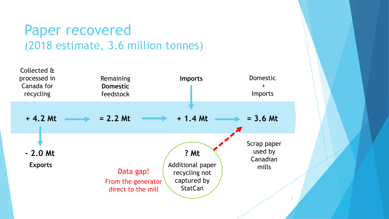## Paper recovered (2018 estimate, 3.6 million tonnes)

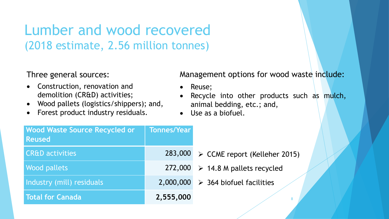# Lumber and wood recovered (2018 estimate, 2.56 million tonnes)

Three general sources:

- Construction, renovation and demolition (CR&D) activities;
- Wood pallets (logistics/shippers); and,
- Forest product industry residuals.

Management options for wood waste include:

- Reuse;
- Recycle into other products such as mulch, animal bedding, etc.; and,
- Use as a biofuel.

| <b>Wood Waste Source Recycled or</b><br><b>Reused</b> | Tonnes/Year |                                                  |
|-------------------------------------------------------|-------------|--------------------------------------------------|
| <b>CR&amp;D</b> activities                            | 283,000     | > CCME report (Kelleher 2015)                    |
| <b>Wood pallets</b>                                   |             | 272,000 $\triangleright$ 14.8 M pallets recycled |
| Industry (mill) residuals                             | 2,000,000   | $\triangleright$ 364 biofuel facilities          |
| Total for Canada                                      | 2,555,000   |                                                  |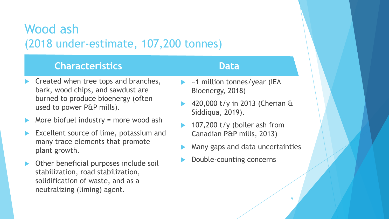### Wood ash (2018 under-estimate, 107,200 tonnes)

#### **Characteristics**

#### **Data**

- Created when tree tops and branches, bark, wood chips, and sawdust are burned to produce bioenergy (often used to power P&P mills).
- More biofuel industry = more wood ash
- Excellent source of lime, potassium and many trace elements that promote plant growth.
- Other beneficial purposes include soil stabilization, road stabilization, solidification of waste, and as a neutralizing (liming) agent.
- ~1 million tonnes/year (IEA Bioenergy, 2018)
- 420,000 t/y in 2013 (Cherian & Siddiqua, 2019).
- 107,200 t/y (boiler ash from Canadian P&P mills, 2013)
- Many gaps and data uncertainties

9

Double-counting concerns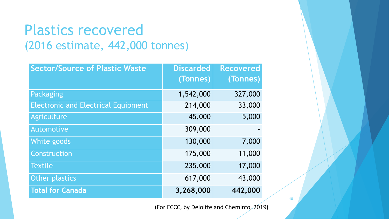# Plastics recovered (2016 estimate, 442,000 tonnes)

| <b>Sector/Source of Plastic Waste</b>      | <b>Discarded</b> | <b>Recovered</b> |
|--------------------------------------------|------------------|------------------|
|                                            | (Tonnes)         | (Tonnes)         |
| Packaging                                  | 1,542,000        | 327,000          |
| <b>Electronic and Electrical Equipment</b> | 214,000          | 33,000           |
| Agriculture                                | 45,000           | 5,000            |
| Automotive                                 | 309,000          |                  |
| White goods                                | 130,000          | 7,000            |
| Construction                               | 175,000          | 11,000           |
| <b>Textile</b>                             | 235,000          | 17,000           |
| Other plastics                             | 617,000          | 43,000           |
| <b>Total for Canada</b>                    | 3,268,000        | 442,000          |

(For ECCC, by Deloitte and Cheminfo, 2019)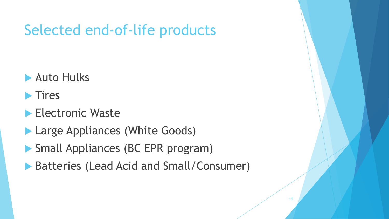# Selected end-of-life products

- **Auto Hulks**
- $\blacktriangleright$  Tires
- **Electronic Waste**
- **Large Appliances (White Goods)**
- Small Appliances (BC EPR program)
- Batteries (Lead Acid and Small/Consumer)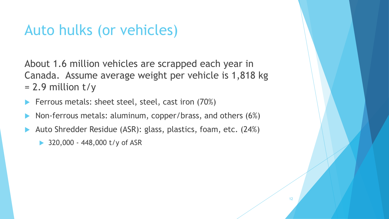# Auto hulks (or vehicles)

About 1.6 million vehicles are scrapped each year in Canada. Assume average weight per vehicle is 1,818 kg  $= 2.9$  million t/y

- Ferrous metals: sheet steel, steel, cast iron (70%)
- Non-ferrous metals: aluminum, copper/brass, and others (6%)
- Auto Shredder Residue (ASR): glass, plastics, foam, etc. (24%)
	- ▶ 320,000 448,000 t/y of ASR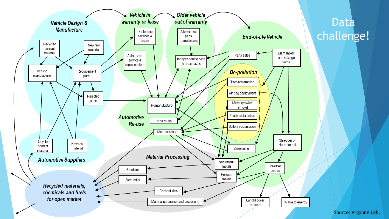

#### Data challenge!

Source: Argonne Lab.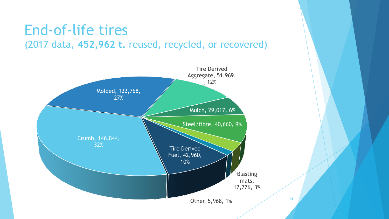### End-of-life tires (2017 data, **452,962 t.** reused, recycled, or recovered)

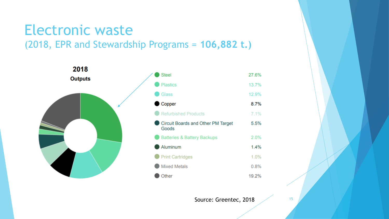### Electronic waste (2018, EPR and Stewardship Programs = **106,882 t.)**



| <b>Steel</b>                                | 27.6% |
|---------------------------------------------|-------|
| <b>Plastics</b>                             | 13.7% |
| Glass                                       | 12.9% |
| Copper                                      | 8.7%  |
| Refurbished Products                        | 7.1%  |
| Circuit Boards and Other PM Target<br>Goods | 5.5%  |
| Batteries & Battery Backups                 | 2.0%  |
| Aluminum                                    | 1.4%  |
| <b>Print Cartridges</b>                     | 1.0%  |
| <b>Mixed Metals</b>                         | 0.8%  |
| Other                                       | 19.2% |

Source: Greentec, 2018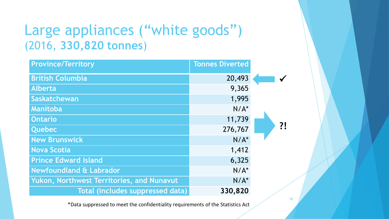# Large appliances ("white goods") (2016, **330,820 tonnes**)

| <b>Province/Territory</b>                 | <b>Tonnes Diverted</b> |    |
|-------------------------------------------|------------------------|----|
| <b>British Columbia</b>                   | 20,493                 |    |
| <b>Alberta</b>                            | 9,365                  |    |
| Saskatchewan                              | 1,995                  |    |
| Manitoba                                  | $N/A^*$                |    |
| <b>Ontario</b>                            | 11,739                 |    |
| <b>Quebec</b>                             | 276,767                | ?! |
| <b>New Brunswick</b>                      | $N/A^*$                |    |
| <b>Nova Scotia</b>                        | 1,412                  |    |
| <b>Prince Edward Island</b>               | 6,325                  |    |
| <b>Newfoundland &amp; Labrador</b>        | $N/A^*$                |    |
| Yukon, Northwest Territories, and Nunavut | $N/A^*$                |    |
| Total (includes suppressed data)          | 330,820                |    |

\*Data suppressed to meet the confidentiality requirements of the Statistics Act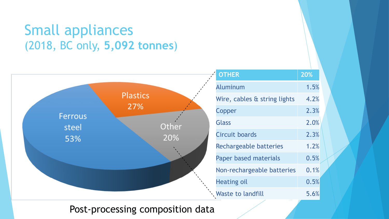# Small appliances (2018, BC only, **5,092 tonnes**)



#### Post-processing composition data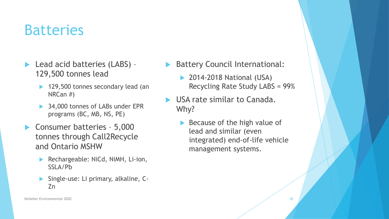# **Batteries**

- ▶ Lead acid batteries (LABS) -129,500 tonnes lead
	- ▶ 129,500 tonnes secondary lead (an NRCan #)
	- 34,000 tonnes of LABs under EPR programs (BC, MB, NS, PE)
- ▶ Consumer batteries 5,000 tonnes through Call2Recycle and Ontario MSHW
	- Rechargeable: NiCd, NiMH, Li-ion, SSLA/Pb
	- Single-use: Li primary, alkaline, C-Zn
- Battery Council International:
	- **▶ 2014-2018 National (USA)** Recycling Rate Study LABS = 99%
- USA rate similar to Canada. Why?
	- Because of the high value of lead and similar (even integrated) end-of-life vehicle management systems.

Kelleher Environmental 2020 and the state of the state of the state of the state of the state of the state of the state of the state of the state of the state of the state of the state of the state of the state of the stat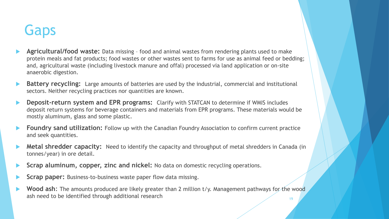# **Gaps**

- **Agricultural/food waste:** Data missing food and animal wastes from rendering plants used to make protein meals and fat products; food wastes or other wastes sent to farms for use as animal feed or bedding; and, agricultural waste (including livestock manure and offal) processed via land application or on-site anaerobic digestion.
- **Battery recycling:** Large amounts of batteries are used by the industrial, commercial and institutional sectors. Neither recycling practices nor quantities are known.
- **Deposit-return system and EPR programs:** Clarify with STATCAN to determine if WMIS includes deposit return systems for beverage containers and materials from EPR programs. These materials would be mostly aluminum, glass and some plastic.
- **Foundry sand utilization:** Follow up with the Canadian Foundry Association to confirm current practice and seek quantities.
- **Metal shredder capacity:** Need to identify the capacity and throughput of metal shredders in Canada (in tonnes/year) in ore detail.
- **Scrap aluminum, copper, zinc and nickel:** No data on domestic recycling operations.
- **Scrap paper:** Business-to-business waste paper flow data missing.
- **Wood ash:** The amounts produced are likely greater than 2 million t/y. Management pathways for the wood ash need to be identified through additional research 19 and 19 and 19 and 19 and 19 and 19 and 19 and 19 and 19 and 19 and 19 and 19 and 19 and 19 and 19 and 19 and 19 and 19 and 19 and 19 and 19 and 19 and 19 and 19 and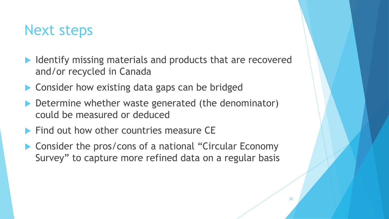# Next steps

- $\blacktriangleright$  Identify missing materials and products that are recovered and/or recycled in Canada
- ▶ Consider how existing data gaps can be bridged
- Determine whether waste generated (the denominator) could be measured or deduced
- $\blacktriangleright$  Find out how other countries measure CE
- ▶ Consider the pros/cons of a national "Circular Economy Survey" to capture more refined data on a regular basis